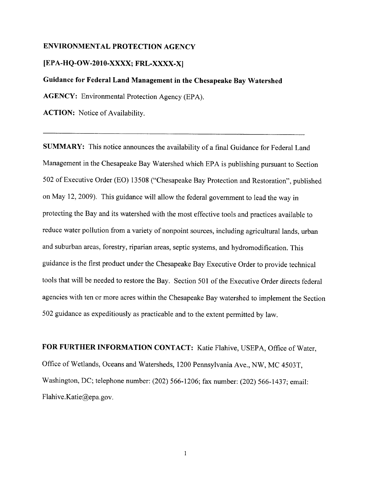#### ENVIRONMENTAL PROTECTION AGENCY

#### [EPA-HQ-OW-2010-XXXX; FRL-XXXX-X]

Guidance for Federal Land Management in the Chesapeake Bay Watershed

AGENCY: Environmental Protection Agency (EPA).

ACTION: Notice of Availability.

SUMMARY: This notice announces the availability of a final Guidance for Federal Land Management in the Chesapeake Bay Watershed which EPA is publishing pursuant to Section 502 of Executive Order (EO) 13508 ("Chesapeake Bay Protection and Restoration", published on May 12, 2009). This guidance will allow the federal government to lead the way in protecting the Bay and its watershed with the most effective tools and practices available to reduce water pollution from a variety of nonpoint sources, including agricultural lands, urban and suburban areas, forestry, riparian areas, septic systems, and hydromodification. This guidance is the first product under the Chesapeake Bay Executive Order to provide technical tools that will be needed to restore the Bay. Section 501 of the Executive Order directs federal agencies with ten or more acres within the Chesapeake Bay watershed to implement the Section 502 guidance as expeditiously as practicable and to the extent permitted by law.

FOR FURTHER INFORMATION CONTACT: Katie Flahive, USEPA, Office of Water, Office of Wetlands, Oceans and Watersheds, 1200 Pennsylvania Ave., NW, MC 4503T, Washington, DC; telephone number: (202) 566-1206; fax number: (202) 566-1437; email: Flahive.Katie@epa.gov.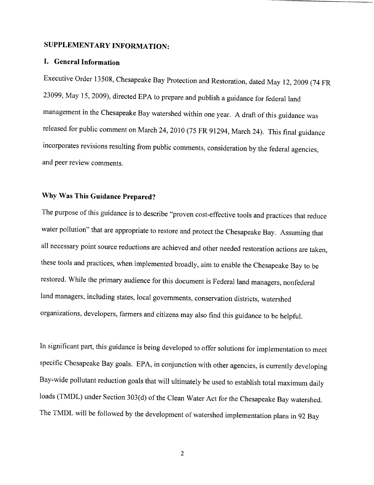# SUPPLEMENTARY INFORMATION:

## 1. General Information

Executive Order 13508, Chesapeake Bay Protection and Restoration, dated May 12, 2009 (74 FR 23099, May 15, 2009), directed EPA to prepare and publish a guidance for federal land management in the Chesapeake Bay watershed within one year. A draft of this guidance was released for public comment on March 24, 2010 (75 FR 91294, March 24). This final guidance incorporates revisions resulting from public comments, consideration by the federal agencies, and peer review comments.

# Why Was This Guidance Prepared?

The purpose of this guidance is to describe "proven cost-effective tools and practices that reduce water pollution" that are appropriate to restore and protect the Chesapeake Bay. Assuming that all necessary point source reductions are achieved and other needed restoration actions are taken, these tools and practices, when implemented broadly, aim to enable the Chesapeake Bay to be restored. While the primary audience for this document is Federal land managers, nonfederal land managers, including states, local governments, conservation districts, watershed organizations, developers, farmers and citizens may also find this guidance to be helpful .

In significant part, this guidance is being developed to offer solutions for implementation to meet specific Chesapeake Bay goals. EPA, in conjunction with other agencies, is currently developing Bay-wide pollutant reduction goals that will ultimately be used to establish total maximum daily loads (TMDL) under Section 303(d) of the Clean Water Act for the Chesapeake Bay watershed. The TMDL will be followed by the development of watershed implementation plans in 92 Bay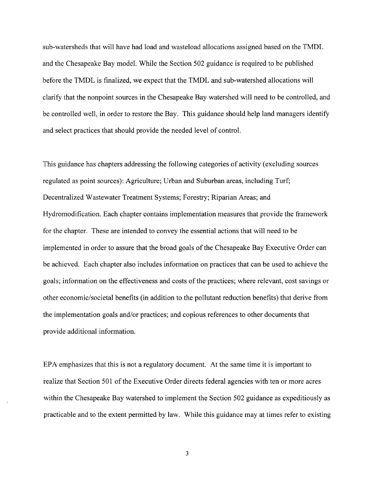sub-watersheds that will have had load and wasteload allocations assigned based on the TMDL and the Chesapeake Bay model. While the Section 502 guidance is required to be published before the TMDL is finalized, we expect that the TMDL and sub-watershed allocations will clarify that the nonpoint sources in the Chesapeake Bay watershed will need to be controlled, and be controlled well, in order to restore the Bay. This guidance should help land managers identify and select practices that should provide the needed level of control.

This guidance has chapters addressing the following categories of activity (excluding sources regulated as point sources): Agriculture; Urban and Suburban areas, including Turf; Decentralized Wastewater Treatment Systems; Forestry; Riparian Areas; and Hydromodification . Each chapter contains implementation measures that provide the framework for the chapter. These are intended to convey the essential actions that will need to be implemented in order to assure that the broad goals of the Chesapeake Bay Executive Order can be achieved. Each chapter also includes information on practices that can be used to achieve the goals; information on the effectiveness and costs of the practices; where relevant, cost savings or other economic/societal benefits (in addition to the pollutant reduction benefits) that derive from the implementation goals and/or practices; and copious references to other documents that provide additional information.

EPA emphasizes that this is not a regulatory document. At the same time it is important to realize that Section 501 of the Executive Order directs federal agencies with ten or more acres within the Chesapeake Bay watershed to implement the Section 502 guidance as expeditiously as practicable and to the extent permitted by law. While this guidance may at times refer to existing

 $\overline{\mathbf{3}}$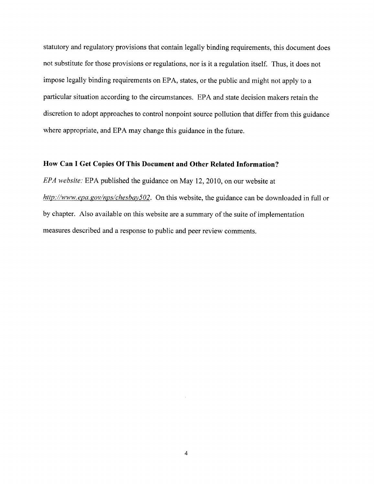statutory and regulatory provisions that contain legally binding requirements, this document does not substitute for those provisions or regulations, nor is it a regulation itself. Thus, it does not impose legally binding requirements on EPA, states, or the public and might not apply to a particular situation according to the circumstances. EPA and state decision makers retain the discretion to adopt approaches to control nonpoint source pollution that differ from this guidance where appropriate, and EPA may change this guidance in the future.

### How Can I Get Copies Of This Document and Other Related Information?

EPA website: EPA published the guidance on May 12, 2010, on our website at http://www.epa.gov/nps/chesbay502. On this website, the guidance can be downloaded in full or by chapter. Also available on this website are a summary of the suite of implementation measures described and a response to public and peer review comments.